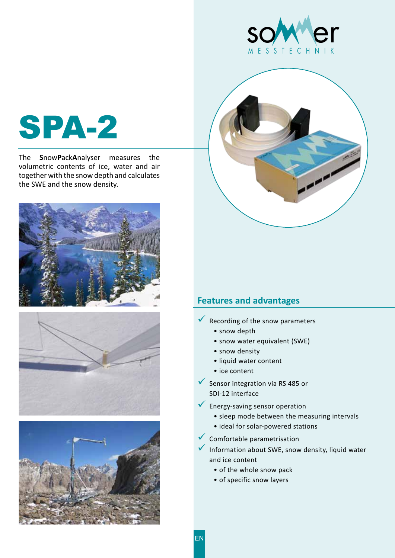



The **S**now**P**ack**A**nalyser measures the volumetric contents of ice, water and air together with the snow depth and calculates the SWE and the snow density.









## **Features and advantages**

- $\sqrt{\ }$  Recording of the snow parameters
	- snow depth
	- snow water equivalent (SWE)
	- snow density
	- liquid water content
	- ice content
- $\checkmark$  Sensor integration via RS 485 or SDI-12 interface
- 9 Energy-saving sensor operation
	- sleep mode between the measuring intervals
	- ideal for solar-powered stations
- 9 Comfortable parametrisation
- 9 Information about SWE, snow density, liquid water and ice content
	- of the whole snow pack
	- of specific snow layers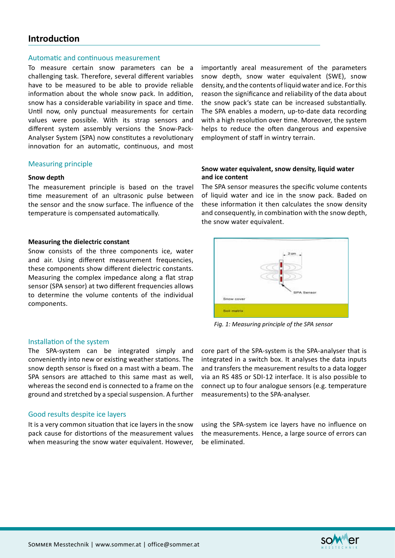## **Introduction**

#### Automatic and continuous measurement

To measure certain snow parameters can be a challenging task. Therefore, several different variables have to be measured to be able to provide reliable information about the whole snow pack. In addition, snow has a considerable variability in space and time. Until now, only punctual measurements for certain values were possible. With its strap sensors and different system assembly versions the Snow-Pack-Analyser System (SPA) now constitutes a revolutionary innovation for an automatic, continuous, and most

#### Measuring principle

#### **Snow depth**

The measurement principle is based on the travel time measurement of an ultrasonic pulse between the sensor and the snow surface. The influence of the temperature is compensated automatically.

#### **Measuring the dielectric constant**

Snow consists of the three components ice, water and air. Using different measurement frequencies, these components show different dielectric constants. Measuring the complex impedance along a flat strap sensor (SPA sensor) at two different frequencies allows to determine the volume contents of the individual components.

### Installation of the system

The SPA-system can be integrated simply and conveniently into new or existing weather stations. The snow depth sensor is fixed on a mast with a beam. The SPA sensors are attached to this same mast as well, whereas the second end is connected to a frame on the ground and stretched by a special suspension. A further

### Good results despite ice layers

It is a very common situation that ice layers in the snow pack cause for distortions of the measurement values when measuring the snow water equivalent. However, importantly areal measurement of the parameters snow depth, snow water equivalent (SWE), snow density, and the contents of liquid water and ice. For this reason the significance and reliability of the data about the snow pack's state can be increased substantially. The SPA enables a modern, up-to-date data recording with a high resolution over time. Moreover, the system helps to reduce the often dangerous and expensive employment of staff in wintry terrain.

#### **Snow water equivalent, snow density, liquid water and ice content**

The SPA sensor measures the specific volume contents of liquid water and ice in the snow pack. Baded on these information it then calculates the snow density and consequently, in combination with the snow depth, the snow water equivalent.



*Fig. 1: Measuring principle of the SPA sensor*

core part of the SPA-system is the SPA-analyser that is integrated in a switch box. It analyses the data inputs and transfers the measurement results to a data logger via an RS 485 or SDI-12 interface. It is also possible to connect up to four analogue sensors (e.g. temperature measurements) to the SPA-analyser.

using the SPA-system ice layers have no influence on the measurements. Hence, a large source of errors can be eliminated.

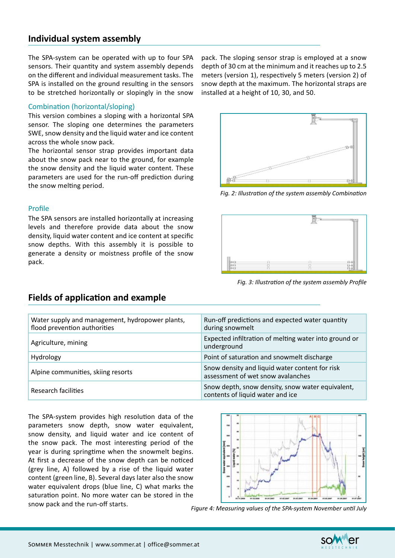## **Individual system assembly**

The SPA-system can be operated with up to four SPA sensors. Their quantity and system assembly depends on the different and individual measurement tasks. The SPA is installed on the ground resulting in the sensors to be stretched horizontally or slopingly in the snow

### Combination (horizontal/sloping)

This version combines a sloping with a horizontal SPA sensor. The sloping one determines the parameters SWE, snow density and the liquid water and ice content across the whole snow pack.

The horizontal sensor strap provides important data about the snow pack near to the ground, for example the snow density and the liquid water content. These parameters are used for the run-off prediction during the snow melting period.

### Profile

The SPA sensors are installed horizontally at increasing levels and therefore provide data about the snow density, liquid water content and ice content at specific snow depths. With this assembly it is possible to generate a density or moistness profile of the snow pack.

pack. The sloping sensor strap is employed at a snow depth of 30 cm at the minimum and it reaches up to 2.5 meters (version 1), respectively 5 meters (version 2) of snow depth at the maximum. The horizontal straps are installed at a height of 10, 30, and 50.



*Fig. 2: Illustration of the system assembly Combination*



*Fig. 3: Illustration of the system assembly Profile* 

| Water supply and management, hydropower plants,<br>flood prevention authorities | Run-off predictions and expected water quantity<br>during snowmelt                   |
|---------------------------------------------------------------------------------|--------------------------------------------------------------------------------------|
| Agriculture, mining                                                             | Expected infiltration of melting water into ground or<br>underground                 |
| Hydrology                                                                       | Point of saturation and snowmelt discharge                                           |
| Alpine communities, skiing resorts                                              | Snow density and liquid water content for risk<br>assessment of wet snow avalanches  |
| Research facilities                                                             | Snow depth, snow density, snow water equivalent,<br>contents of liquid water and ice |

The SPA-system provides high resolution data of the parameters snow depth, snow water equivalent, snow density, and liquid water and ice content of the snow pack. The most interesting period of the year is during springtime when the snowmelt begins. At first a decrease of the snow depth can be noticed (grey line, A) followed by a rise of the liquid water content (green line, B). Several days later also the snow water equivalent drops (blue line, C) what marks the saturation point. No more water can be stored in the



snow pack and the run-off starts. *Figure 4: Measuring values of the SPA-system November until July*



**Fields of application and example**